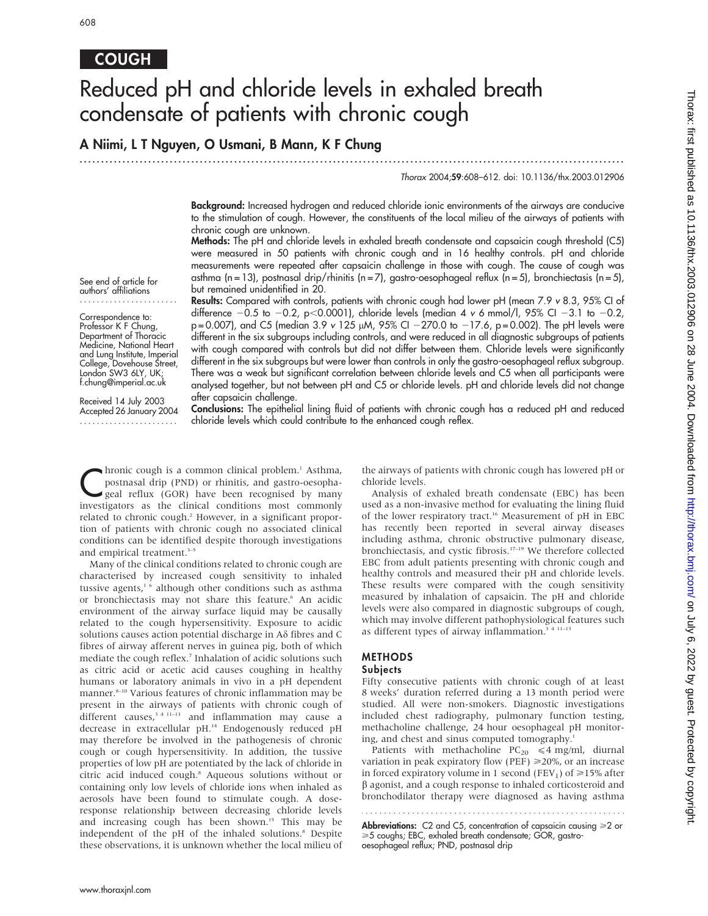# COUGH

# Reduced pH and chloride levels in exhaled breath condensate of patients with chronic cough

# A Niimi, L T Nguyen, O Usmani, B Mann, K F Chung

...............................................................................................................................

Thorax 2004;59:608–612. doi: 10.1136/thx.2003.012906

Background: Increased hydrogen and reduced chloride ionic environments of the airways are conducive to the stimulation of cough. However, the constituents of the local milieu of the airways of patients with chronic cough are unknown.

Methods: The pH and chloride levels in exhaled breath condensate and capsaicin cough threshold (C5) were measured in 50 patients with chronic cough and in 16 healthy controls. pH and chloride measurements were repeated after capsaicin challenge in those with cough. The cause of cough was asthma (n = 13), postnasal drip/rhinitis (n = 7), gastro-oesophageal reflux (n = 5), bronchiectasis (n = 5), but remained unidentified in 20. Results: Compared with controls, patients with chronic cough had lower pH (mean 7.9 v 8.3, 95% CI of

difference  $-0.5$  to  $-0.2$ , p $< 0.0001$ ), chloride levels (median 4 v 6 mmol/l, 95% CI  $-3.1$  to  $-0.2$ ,

See end of article for authors' affiliations .......................

Correspondence to: Professor K F Chung, Department of Thoracic Medicine, National Heart and Lung Institute, Imperial College, Dovehouse Street, London SW3 6LY, UK; f.chung@imperial.ac.uk

Received 14 July 2003 Accepted 26 January 2004 .......................

 $p = 0.007$ ), and C5 (median 3.9 v 125  $\mu$ M, 95% CI -270.0 to -17.6, p = 0.002). The pH levels were different in the six subgroups including controls, and were reduced in all diagnostic subgroups of patients with cough compared with controls but did not differ between them. Chloride levels were significantly different in the six subgroups but were lower than controls in only the gastro-oesophageal reflux subgroup. There was a weak but significant correlation between chloride levels and C5 when all participants were analysed together, but not between pH and C5 or chloride levels. pH and chloride levels did not change after capsaicin challenge.

Conclusions: The epithelial lining fluid of patients with chronic cough has a reduced pH and reduced chloride levels which could contribute to the enhanced cough reflex.

**C**hronic cough is a common clinical problem.<sup>1</sup> Asthma,<br>postnasal drip (PND) or rhinitis, and gastro-oesopha-<br>geal reflux (GOR) have been recognised by many<br>investigators, as the clinical conditions, meet, commonly postnasal drip (PND) or rhinitis, and gastro-oesophainvestigators as the clinical conditions most commonly related to chronic cough.<sup>2</sup> However, in a significant proportion of patients with chronic cough no associated clinical conditions can be identified despite thorough investigations and empirical treatment.<sup>3-5</sup>

Many of the clinical conditions related to chronic cough are characterised by increased cough sensitivity to inhaled tussive agents,<sup>16</sup> although other conditions such as asthma or bronchiectasis may not share this feature.<sup>6</sup> An acidic environment of the airway surface liquid may be causally related to the cough hypersensitivity. Exposure to acidic solutions causes action potential discharge in A $\delta$  fibres and C fibres of airway afferent nerves in guinea pig, both of which mediate the cough reflex.<sup>7</sup> Inhalation of acidic solutions such as citric acid or acetic acid causes coughing in healthy humans or laboratory animals in vivo in a pH dependent manner.<sup>8-10</sup> Various features of chronic inflammation may be present in the airways of patients with chronic cough of different causes,  $34 \text{ m}$  and inflammation may cause a decrease in extracellular pH.<sup>14</sup> Endogenously reduced pH may therefore be involved in the pathogenesis of chronic cough or cough hypersensitivity. In addition, the tussive properties of low pH are potentiated by the lack of chloride in citric acid induced cough.8 Aqueous solutions without or containing only low levels of chloride ions when inhaled as aerosols have been found to stimulate cough. A doseresponse relationship between decreasing chloride levels and increasing cough has been shown.<sup>15</sup> This may be independent of the pH of the inhaled solutions.<sup>8</sup> Despite these observations, it is unknown whether the local milieu of the airways of patients with chronic cough has lowered pH or chloride levels.

Analysis of exhaled breath condensate (EBC) has been used as a non-invasive method for evaluating the lining fluid of the lower respiratory tract.<sup>16</sup> Measurement of pH in EBC has recently been reported in several airway diseases including asthma, chronic obstructive pulmonary disease, bronchiectasis, and cystic fibrosis.17–19 We therefore collected EBC from adult patients presenting with chronic cough and healthy controls and measured their pH and chloride levels. These results were compared with the cough sensitivity measured by inhalation of capsaicin. The pH and chloride levels were also compared in diagnostic subgroups of cough, which may involve different pathophysiological features such as different types of airway inflammation.<sup>3</sup><sup>4 11-13</sup>

# METHODS

# **Subjects**

Fifty consecutive patients with chronic cough of at least 8 weeks' duration referred during a 13 month period were studied. All were non-smokers. Diagnostic investigations included chest radiography, pulmonary function testing, methacholine challenge, 24 hour oesophageal pH monitoring, and chest and sinus computed tomography.<sup>1</sup>

Patients with methacholine  $PC_{20} \leq 4$  mg/ml, diurnal variation in peak expiratory flow (PEF)  $\geq$ 20%, or an increase in forced expiratory volume in 1 second (FEV<sub>1</sub>) of  $\geq$ 15% after  $\beta$  agonist, and a cough response to inhaled corticosteroid and bronchodilator therapy were diagnosed as having asthma

**Abbreviations:** C2 and C5, concentration of capsaicin causing ≥2 or >5 coughs; EBC, exhaled breath condensate; GOR, gastrooesophageal reflux; PND, postnasal drip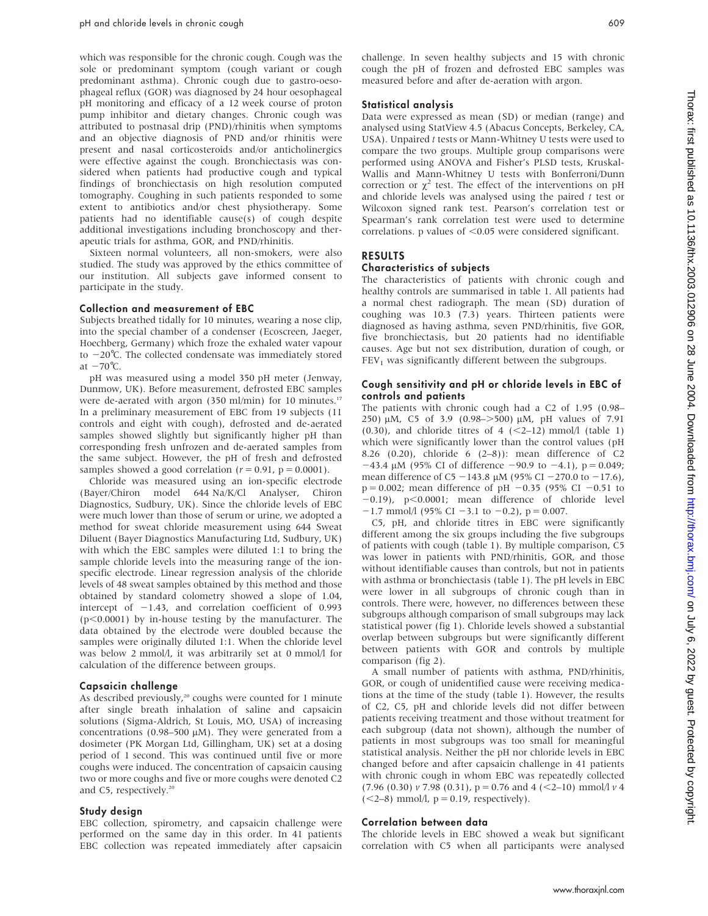which was responsible for the chronic cough. Cough was the sole or predominant symptom (cough variant or cough predominant asthma). Chronic cough due to gastro-oesophageal reflux (GOR) was diagnosed by 24 hour oesophageal pH monitoring and efficacy of a 12 week course of proton pump inhibitor and dietary changes. Chronic cough was attributed to postnasal drip (PND)/rhinitis when symptoms and an objective diagnosis of PND and/or rhinitis were present and nasal corticosteroids and/or anticholinergics were effective against the cough. Bronchiectasis was considered when patients had productive cough and typical findings of bronchiectasis on high resolution computed tomography. Coughing in such patients responded to some extent to antibiotics and/or chest physiotherapy. Some patients had no identifiable cause(s) of cough despite additional investigations including bronchoscopy and therapeutic trials for asthma, GOR, and PND/rhinitis.

Sixteen normal volunteers, all non-smokers, were also studied. The study was approved by the ethics committee of our institution. All subjects gave informed consent to participate in the study.

#### Collection and measurement of EBC

Subjects breathed tidally for 10 minutes, wearing a nose clip, into the special chamber of a condenser (Ecoscreen, Jaeger, Hoechberg, Germany) which froze the exhaled water vapour to  $-20^{\circ}$ C. The collected condensate was immediately stored at  $-70^{\circ}$ C.

pH was measured using a model 350 pH meter (Jenway, Dunmow, UK). Before measurement, defrosted EBC samples were de-aerated with argon (350 ml/min) for 10 minutes.<sup>17</sup> In a preliminary measurement of EBC from 19 subjects (11 controls and eight with cough), defrosted and de-aerated samples showed slightly but significantly higher pH than corresponding fresh unfrozen and de-aerated samples from the same subject. However, the pH of fresh and defrosted samples showed a good correlation ( $r = 0.91$ ,  $p = 0.0001$ ).

Chloride was measured using an ion-specific electrode (Bayer/Chiron model 644 Na/K/Cl Analyser, Chiron Diagnostics, Sudbury, UK). Since the chloride levels of EBC were much lower than those of serum or urine, we adopted a method for sweat chloride measurement using 644 Sweat Diluent (Bayer Diagnostics Manufacturing Ltd, Sudbury, UK) with which the EBC samples were diluted 1:1 to bring the sample chloride levels into the measuring range of the ionspecific electrode. Linear regression analysis of the chloride levels of 48 sweat samples obtained by this method and those obtained by standard colometry showed a slope of 1.04, intercept of  $-1.43$ , and correlation coefficient of 0.993  $(p<0.0001)$  by in-house testing by the manufacturer. The data obtained by the electrode were doubled because the samples were originally diluted 1:1. When the chloride level was below 2 mmol/l, it was arbitrarily set at 0 mmol/l for calculation of the difference between groups.

#### Capsaicin challenge

As described previously,<sup>20</sup> coughs were counted for 1 minute after single breath inhalation of saline and capsaicin solutions (Sigma-Aldrich, St Louis, MO, USA) of increasing concentrations (0.98–500  $\mu$ M). They were generated from a dosimeter (PK Morgan Ltd, Gillingham, UK) set at a dosing period of 1 second. This was continued until five or more coughs were induced. The concentration of capsaicin causing two or more coughs and five or more coughs were denoted C2 and C5, respectively.<sup>20</sup>

### Study design

EBC collection, spirometry, and capsaicin challenge were performed on the same day in this order. In 41 patients EBC collection was repeated immediately after capsaicin challenge. In seven healthy subjects and 15 with chronic cough the pH of frozen and defrosted EBC samples was measured before and after de-aeration with argon.

#### Statistical analysis

Data were expressed as mean (SD) or median (range) and analysed using StatView 4.5 (Abacus Concepts, Berkeley, CA, USA). Unpaired t tests or Mann-Whitney U tests were used to compare the two groups. Multiple group comparisons were performed using ANOVA and Fisher's PLSD tests, Kruskal-Wallis and Mann-Whitney U tests with Bonferroni/Dunn correction or  $\chi^2$  test. The effect of the interventions on pH and chloride levels was analysed using the paired  $t$  test or Wilcoxon signed rank test. Pearson's correlation test or Spearman's rank correlation test were used to determine correlations. p values of  $< 0.05$  were considered significant.

# RESULTS

### Characteristics of subjects

The characteristics of patients with chronic cough and healthy controls are summarised in table 1. All patients had a normal chest radiograph. The mean (SD) duration of coughing was 10.3 (7.3) years. Thirteen patients were diagnosed as having asthma, seven PND/rhinitis, five GOR, five bronchiectasis, but 20 patients had no identifiable causes. Age but not sex distribution, duration of cough, or  $FEV<sub>1</sub>$  was significantly different between the subgroups.

### Cough sensitivity and pH or chloride levels in EBC of controls and patients

The patients with chronic cough had a C2 of 1.95 (0.98– 250)  $\mu$ M, C5 of 3.9 (0.98->500)  $\mu$ M, pH values of 7.91  $(0.30)$ , and chloride titres of 4  $( $2$ -12) mmol/l$  (table 1) which were significantly lower than the control values (pH 8.26 (0.20), chloride 6 (2–8)): mean difference of C2  $-43.4 \mu M$  (95% CI of difference  $-90.9$  to  $-4.1$ ), p = 0.049; mean difference of C5 -143.8  $\mu$ M (95% CI -270.0 to -17.6),  $p = 0.002$ ; mean difference of pH  $-0.35$  (95% CI  $-0.51$  to  $-0.19$ ),  $p<0.0001$ ; mean difference of chloride level  $-1.7$  mmol/l (95% CI  $-3.1$  to  $-0.2$ ), p = 0.007.

C5, pH, and chloride titres in EBC were significantly different among the six groups including the five subgroups of patients with cough (table 1). By multiple comparison, C5 was lower in patients with PND/rhinitis, GOR, and those without identifiable causes than controls, but not in patients with asthma or bronchiectasis (table 1). The pH levels in EBC were lower in all subgroups of chronic cough than in controls. There were, however, no differences between these subgroups although comparison of small subgroups may lack statistical power (fig 1). Chloride levels showed a substantial overlap between subgroups but were significantly different between patients with GOR and controls by multiple comparison (fig 2).

A small number of patients with asthma, PND/rhinitis, GOR, or cough of unidentified cause were receiving medications at the time of the study (table 1). However, the results of C2, C5, pH and chloride levels did not differ between patients receiving treatment and those without treatment for each subgroup (data not shown), although the number of patients in most subgroups was too small for meaningful statistical analysis. Neither the pH nor chloride levels in EBC changed before and after capsaicin challenge in 41 patients with chronic cough in whom EBC was repeatedly collected  $(7.96 (0.30) v 7.98 (0.31), p = 0.76 \text{ and } 4 (-2-10) \text{ mmol/l } v 4$  $(<2-8$ ) mmol/l,  $p = 0.19$ , respectively).

#### Correlation between data

The chloride levels in EBC showed a weak but significant correlation with C5 when all participants were analysed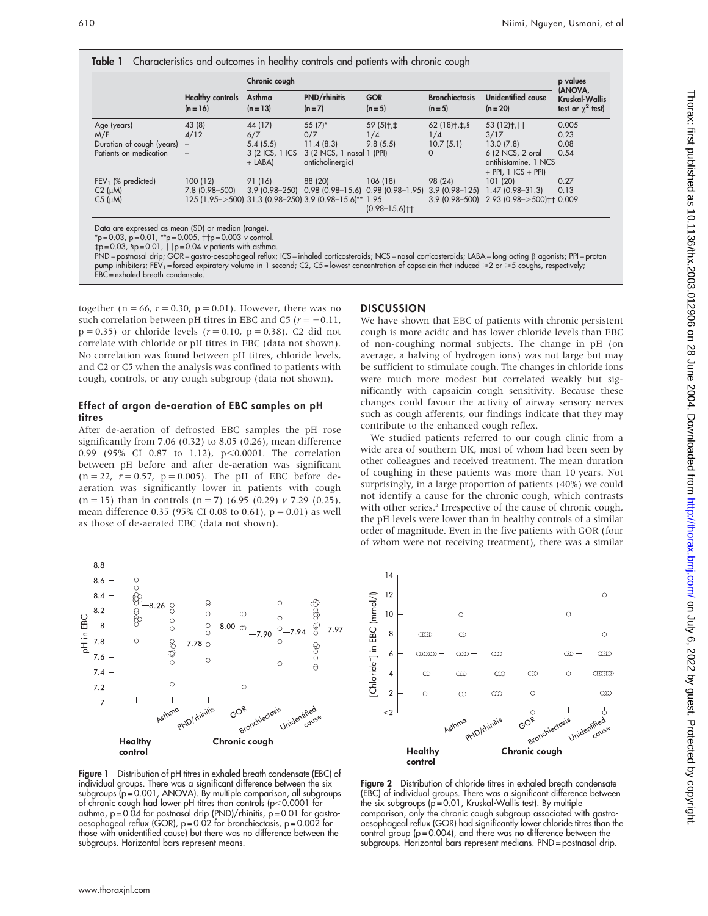|                           |                                       | Chronic cough                 |                                                               |                         |                                  |                                                                                                 | p values                                                     |
|---------------------------|---------------------------------------|-------------------------------|---------------------------------------------------------------|-------------------------|----------------------------------|-------------------------------------------------------------------------------------------------|--------------------------------------------------------------|
|                           | <b>Healthy controls</b><br>$(n = 16)$ | Asthma<br>$(n = 13)$          | <b>PND/rhinitis</b><br>$(n=7)$                                | <b>GOR</b><br>$(n = 5)$ | <b>Bronchiectasis</b><br>$(n=5)$ | Unidentified cause<br>$(n = 20)$                                                                | (ANOVA,<br><b>Kruskal-Wallis</b><br>test or $\gamma^2$ test) |
| Age (years)               | 43 (8)                                | 44 (17)                       | $55(7)^*$                                                     | $59(5)$ t, ‡            | $62(18)$ t, $\neq$ , §           | $53(12)$ t,                                                                                     | 0.005                                                        |
| M/F                       | 4/12                                  | 6/7                           | 0/7                                                           | 1/4                     | 1/4                              | 3/17                                                                                            | 0.23                                                         |
| Duration of cough (years) | $\overline{\phantom{a}}$              | 5.4(5.5)                      | 11.4(8.3)                                                     | 9.8(5.5)                | 10.7(5.1)                        | 13.0(7.8)                                                                                       | 0.08                                                         |
| Patients on medication    | -                                     | 3 (2 ICS, 1 ICS)<br>$+$ LABA) | 3 (2 NCS, 1 nasal 1 (PPI)<br>anticholinergic)                 |                         | $\Omega$                         | 6 (2 NCS, 2 oral<br>antihistamine, 1 NCS<br>$+$ PPI, 1 ICS $+$ PPI)                             | 0.54                                                         |
| $FEV1$ (% predicted)      | 100(12)                               | 91 (16)                       | 88 (20)                                                       | 106 (18)                | 98 (24)                          | 101(20)                                                                                         | 0.27                                                         |
| $C2$ ( $\mu$ M)           |                                       |                               |                                                               |                         |                                  | 7.8 (0.98-500) 3.9 (0.98-250) 0.98 (0.98-15.6) 0.98 (0.98-1.95) 3.9 (0.98-125) 1.47 (0.98-31.3) | 0.13                                                         |
| $C5$ ( $\mu$ M)           |                                       |                               | 125 (1.95 - > 500) 31.3 (0.98 - 250) 3.9 (0.98 - 15.6)** 1.95 | $(0.98 - 15.6)$ † †     |                                  | 3.9 (0.98-500) 2.93 (0.98->500) + 0.009                                                         |                                                              |

\*p=0.03, p=0.01, \*\*p=0.005, ††p=0.003 v control.<br>‡p=0.03, §p=0.01, ||p=0.04 v patients with asthma.

PND = postnasal drip; GOR = gastro-oesophageal reflux; ICS = inhaled corticosteroids; NCS = nasal corticosteroids; LABA = long acting b agonists; PPI = proton pump inhibitors; FEV<sub>1</sub> = forced expiratory volume in 1 second; C2, C5 = lowest concentration of capsaicin that induced ≥2 or ≥5 coughs, respectively; EBC = exhaled breath condensate.

together ( $n = 66$ ,  $r = 0.30$ ,  $p = 0.01$ ). However, there was no such correlation between pH titres in EBC and C5 ( $r = -0.11$ ,  $p = 0.35$ ) or chloride levels ( $r = 0.10$ ,  $p = 0.38$ ). C2 did not correlate with chloride or pH titres in EBC (data not shown). No correlation was found between pH titres, chloride levels, and C2 or C5 when the analysis was confined to patients with cough, controls, or any cough subgroup (data not shown).

# Effect of argon de-aeration of EBC samples on pH titres

After de-aeration of defrosted EBC samples the pH rose significantly from 7.06 (0.32) to 8.05 (0.26), mean difference 0.99 (95% CI 0.87 to 1.12), p<0.0001. The correlation between pH before and after de-aeration was significant  $(n = 22, r = 0.57, p = 0.005)$ . The pH of EBC before deaeration was significantly lower in patients with cough  $(n = 15)$  than in controls  $(n = 7)$  (6.95 (0.29) v 7.29 (0.25), mean difference 0.35 (95% CI 0.08 to 0.61),  $p = 0.01$ ) as well as those of de-aerated EBC (data not shown).



Figure 1 Distribution of pH titres in exhaled breath condensate (EBC) of individual groups. There was a significant difference between the six subgroups  $(p = 0.001, ANOVA)$ . By multiple comparison, all subgroups of chronic cough had lower pH titres than controls ( $p<0.0001$  for asthma,  $p = 0.04$  for postnasal drip (PND)/rhinitis,  $p = 0.01$  for gastrooesophageal reflux (GOR), p = 0.02 for bronchiectasis, p = 0.002 for those with unidentified cause) but there was no difference between the subgroups. Horizontal bars represent means.

# **DISCUSSION**

We have shown that EBC of patients with chronic persistent cough is more acidic and has lower chloride levels than EBC of non-coughing normal subjects. The change in pH (on average, a halving of hydrogen ions) was not large but may be sufficient to stimulate cough. The changes in chloride ions were much more modest but correlated weakly but significantly with capsaicin cough sensitivity. Because these changes could favour the activity of airway sensory nerves such as cough afferents, our findings indicate that they may contribute to the enhanced cough reflex.

We studied patients referred to our cough clinic from a wide area of southern UK, most of whom had been seen by other colleagues and received treatment. The mean duration of coughing in these patients was more than 10 years. Not surprisingly, in a large proportion of patients (40%) we could not identify a cause for the chronic cough, which contrasts with other series.<sup>2</sup> Irrespective of the cause of chronic cough, the pH levels were lower than in healthy controls of a similar order of magnitude. Even in the five patients with GOR (four of whom were not receiving treatment), there was a similar



Figure 2 Distribution of chloride titres in exhaled breath condensate (EBC) of individual groups. There was a significant difference between the six subgroups (p = 0.01, Kruskal-Wallis test). By multiple comparison, only the chronic cough subgroup associated with gastrooesophageal reflux (GOR) had significantly lower chloride titres than the control group (p = 0.004), and there was no difference between the subgroups. Horizontal bars represent medians. PND = postnasal drip.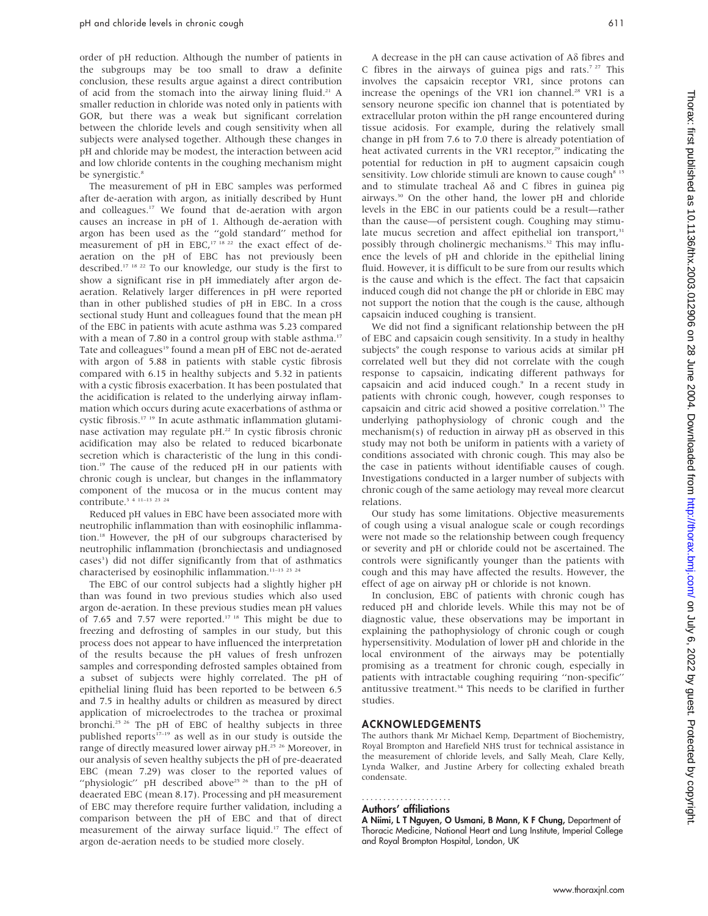order of pH reduction. Although the number of patients in the subgroups may be too small to draw a definite conclusion, these results argue against a direct contribution of acid from the stomach into the airway lining fluid.<sup>21</sup> A smaller reduction in chloride was noted only in patients with GOR, but there was a weak but significant correlation between the chloride levels and cough sensitivity when all subjects were analysed together. Although these changes in pH and chloride may be modest, the interaction between acid and low chloride contents in the coughing mechanism might be synergistic.<sup>8</sup>

The measurement of pH in EBC samples was performed after de-aeration with argon, as initially described by Hunt and colleagues.<sup>17</sup> We found that de-aeration with argon causes an increase in pH of 1. Although de-aeration with argon has been used as the ''gold standard'' method for measurement of pH in EBC,<sup>17 18 22</sup> the exact effect of deaeration on the pH of EBC has not previously been described.17 18 22 To our knowledge, our study is the first to show a significant rise in pH immediately after argon deaeration. Relatively larger differences in pH were reported than in other published studies of pH in EBC. In a cross sectional study Hunt and colleagues found that the mean pH of the EBC in patients with acute asthma was 5.23 compared with a mean of 7.80 in a control group with stable asthma.<sup>17</sup> Tate and colleagues<sup>19</sup> found a mean pH of EBC not de-aerated with argon of 5.88 in patients with stable cystic fibrosis compared with 6.15 in healthy subjects and 5.32 in patients with a cystic fibrosis exacerbation. It has been postulated that the acidification is related to the underlying airway inflammation which occurs during acute exacerbations of asthma or cystic fibrosis.17 19 In acute asthmatic inflammation glutaminase activation may regulate pH.22 In cystic fibrosis chronic acidification may also be related to reduced bicarbonate secretion which is characteristic of the lung in this condition.19 The cause of the reduced pH in our patients with chronic cough is unclear, but changes in the inflammatory component of the mucosa or in the mucus content may contribute.<sup>3</sup> <sup>4</sup> <sup>11-13</sup> <sup>23</sup> <sup>24</sup>

Reduced pH values in EBC have been associated more with neutrophilic inflammation than with eosinophilic inflammation.18 However, the pH of our subgroups characterised by neutrophilic inflammation (bronchiectasis and undiagnosed cases<sup>3</sup>) did not differ significantly from that of asthmatics characterised by eosinophilic inflammation.<sup>11-13</sup> <sup>23</sup> <sup>24</sup>

The EBC of our control subjects had a slightly higher pH than was found in two previous studies which also used argon de-aeration. In these previous studies mean pH values of 7.65 and 7.57 were reported.<sup>17 18</sup> This might be due to freezing and defrosting of samples in our study, but this process does not appear to have influenced the interpretation of the results because the pH values of fresh unfrozen samples and corresponding defrosted samples obtained from a subset of subjects were highly correlated. The pH of epithelial lining fluid has been reported to be between 6.5 and 7.5 in healthy adults or children as measured by direct application of microelectrodes to the trachea or proximal bronchi.25 26 The pH of EBC of healthy subjects in three published reports<sup>17-19</sup> as well as in our study is outside the range of directly measured lower airway pH.25 26 Moreover, in our analysis of seven healthy subjects the pH of pre-deaerated EBC (mean 7.29) was closer to the reported values of "physiologic" pH described above<sup>25 26</sup> than to the pH of deaerated EBC (mean 8.17). Processing and pH measurement of EBC may therefore require further validation, including a comparison between the pH of EBC and that of direct measurement of the airway surface liquid.<sup>17</sup> The effect of argon de-aeration needs to be studied more closely.

A decrease in the pH can cause activation of  $A\delta$  fibres and C fibres in the airways of guinea pigs and rats.<sup>7 27</sup> This involves the capsaicin receptor VR1, since protons can increase the openings of the VR1 ion channel.<sup>28</sup> VR1 is a sensory neurone specific ion channel that is potentiated by extracellular proton within the pH range encountered during tissue acidosis. For example, during the relatively small change in pH from 7.6 to 7.0 there is already potentiation of heat activated currents in the VR1 receptor,<sup>29</sup> indicating the potential for reduction in pH to augment capsaicin cough sensitivity. Low chloride stimuli are known to cause cough<sup>8 15</sup> and to stimulate tracheal  $A\delta$  and C fibres in guinea pig airways.30 On the other hand, the lower pH and chloride levels in the EBC in our patients could be a result—rather than the cause—of persistent cough. Coughing may stimulate mucus secretion and affect epithelial ion transport,<sup>31</sup> possibly through cholinergic mechanisms.<sup>32</sup> This may influence the levels of pH and chloride in the epithelial lining fluid. However, it is difficult to be sure from our results which is the cause and which is the effect. The fact that capsaicin induced cough did not change the pH or chloride in EBC may not support the notion that the cough is the cause, although capsaicin induced coughing is transient.

We did not find a significant relationship between the pH of EBC and capsaicin cough sensitivity. In a study in healthy subjects<sup>9</sup> the cough response to various acids at similar pH correlated well but they did not correlate with the cough response to capsaicin, indicating different pathways for capsaicin and acid induced cough.9 In a recent study in patients with chronic cough, however, cough responses to capsaicin and citric acid showed a positive correlation.<sup>33</sup> The underlying pathophysiology of chronic cough and the mechanism(s) of reduction in airway pH as observed in this study may not both be uniform in patients with a variety of conditions associated with chronic cough. This may also be the case in patients without identifiable causes of cough. Investigations conducted in a larger number of subjects with chronic cough of the same aetiology may reveal more clearcut relations.

Our study has some limitations. Objective measurements of cough using a visual analogue scale or cough recordings were not made so the relationship between cough frequency or severity and pH or chloride could not be ascertained. The controls were significantly younger than the patients with cough and this may have affected the results. However, the effect of age on airway pH or chloride is not known.

In conclusion, EBC of patients with chronic cough has reduced pH and chloride levels. While this may not be of diagnostic value, these observations may be important in explaining the pathophysiology of chronic cough or cough hypersensitivity. Modulation of lower pH and chloride in the local environment of the airways may be potentially promising as a treatment for chronic cough, especially in patients with intractable coughing requiring ''non-specific'' antitussive treatment.<sup>34</sup> This needs to be clarified in further studies.

# ACKNOWLEDGEMENTS

The authors thank Mr Michael Kemp, Department of Biochemistry, Royal Brompton and Harefield NHS trust for technical assistance in the measurement of chloride levels, and Sally Meah, Clare Kelly, Lynda Walker, and Justine Arbery for collecting exhaled breath condensate.

#### Authors' affiliations .....................

A Niimi, L T Nguyen, O Usmani, B Mann, K F Chung, Department of Thoracic Medicine, National Heart and Lung Institute, Imperial College and Royal Brompton Hospital, London, UK